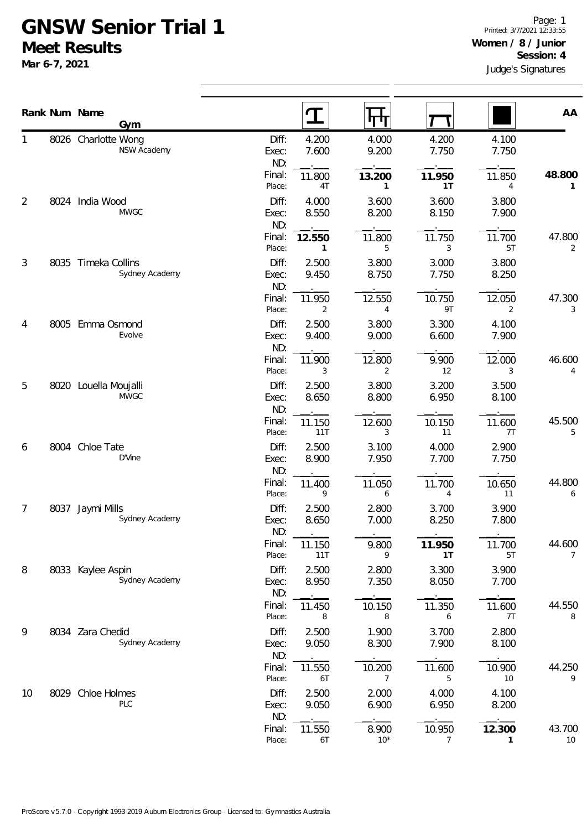## **GNSW Senior Trial 1 Meet Results**

**Mar 6-7, 2021**

|                |      | Rank Num Name<br>Gym                  |                       | $\mathbf T$              | पा प                     |                |                | AA           |
|----------------|------|---------------------------------------|-----------------------|--------------------------|--------------------------|----------------|----------------|--------------|
|                |      | 8026 Charlotte Wong<br>NSW Academy    | Diff:<br>Exec:<br>ND: | 4.200<br>7.600           | 4.000<br>9.200           | 4.200<br>7.750 | 4.100<br>7.750 |              |
|                |      |                                       | Final:<br>Place:      | 11.800<br>4T             | 13.200<br>1              | 11.950<br>1T   | 11.850<br>4    | 48.800<br>1  |
| $\overline{2}$ | 8024 | India Wood<br><b>MWGC</b>             | Diff:<br>Exec:<br>ND: | 4.000<br>8.550           | 3.600<br>8.200           | 3.600<br>8.150 | 3.800<br>7.900 |              |
|                |      |                                       | Final:<br>Place:      | 12.550<br>$\mathbf{1}$   | 11.800<br>5              | 11.750<br>3    | 11.700<br>5T   | 47.800<br>2  |
| $\mathfrak{Z}$ |      | 8035 Timeka Collins<br>Sydney Academy | Diff:<br>Exec:<br>ND: | 2.500<br>9.450           | 3.800<br>8.750           | 3.000<br>7.750 | 3.800<br>8.250 |              |
|                |      |                                       | Final:<br>Place:      | 11.950<br>$\overline{2}$ | 12.550<br>$\overline{4}$ | 10.750<br>9T   | 12.050<br>2    | 47.300<br>3  |
| 4              |      | 8005 Emma Osmond<br>Evolve            | Diff:<br>Exec:<br>ND: | 2.500<br>9.400           | 3.800<br>9.000           | 3.300<br>6.600 | 4.100<br>7.900 |              |
|                |      |                                       | Final:<br>Place:      | 11.900<br>3              | 12.800<br>2              | 9.900<br>12    | 12.000<br>3    | 46.600<br>4  |
| 5              |      | 8020 Louella Moujalli<br><b>MWGC</b>  | Diff:<br>Exec:<br>ND: | 2.500<br>8.650           | 3.800<br>8.800           | 3.200<br>6.950 | 3.500<br>8.100 |              |
|                |      |                                       | Final:<br>Place:      | 11.150<br>11T            | 12.600<br>3              | 10.150<br>11   | 11.600<br>7T   | 45.500<br>5  |
| 6              | 8004 | Chloe Tate<br>D'Vine                  | Diff:<br>Exec:<br>ND: | 2.500<br>8.900           | 3.100<br>7.950           | 4.000<br>7.700 | 2.900<br>7.750 |              |
|                |      |                                       | Final:<br>Place:      | 11.400<br>9              | 11.050<br>6              | 11.700<br>4    | 10.650<br>11   | 44.800<br>6  |
| 7              | 8037 | Jaymi Mills<br>Sydney Academy         | Diff:<br>Exec:<br>ND: | 2.500<br>8.650           | 2.800<br>7.000           | 3.700<br>8.250 | 3.900<br>7.800 |              |
|                |      |                                       | Final:<br>Place:      | 11.150<br>11T            | 9.800<br>9               | 11.950<br>1T   | 11.700<br>5T   | 44.600<br>7  |
| 8              |      | 8033 Kaylee Aspin<br>Sydney Academy   | Diff:<br>Exec:<br>ND: | 2.500<br>8.950           | 2.800<br>7.350           | 3.300<br>8.050 | 3.900<br>7.700 |              |
|                |      |                                       | Final:<br>Place:      | 11.450<br>8              | 10.150<br>8              | 11.350<br>6    | 11.600<br>7T   | 44.550<br>8  |
| 9              |      | 8034 Zara Chedid<br>Sydney Academy    | Diff:<br>Exec:<br>ND: | 2.500<br>9.050           | 1.900<br>8.300           | 3.700<br>7.900 | 2.800<br>8.100 |              |
|                |      |                                       | Final:<br>Place:      | 11.550<br>6T             | 10.200<br>$\overline{7}$ | 11.600<br>5    | 10.900<br>10   | 44.250<br>9  |
| 10             |      | 8029 Chloe Holmes<br>PLC              | Diff:<br>Exec:<br>ND: | 2.500<br>9.050           | 2.000<br>6.900           | 4.000<br>6.950 | 4.100<br>8.200 |              |
|                |      |                                       | Final:<br>Place:      | 11.550<br>6T             | 8.900<br>$10*$           | 10.950<br>7    | 12.300<br>1    | 43.700<br>10 |